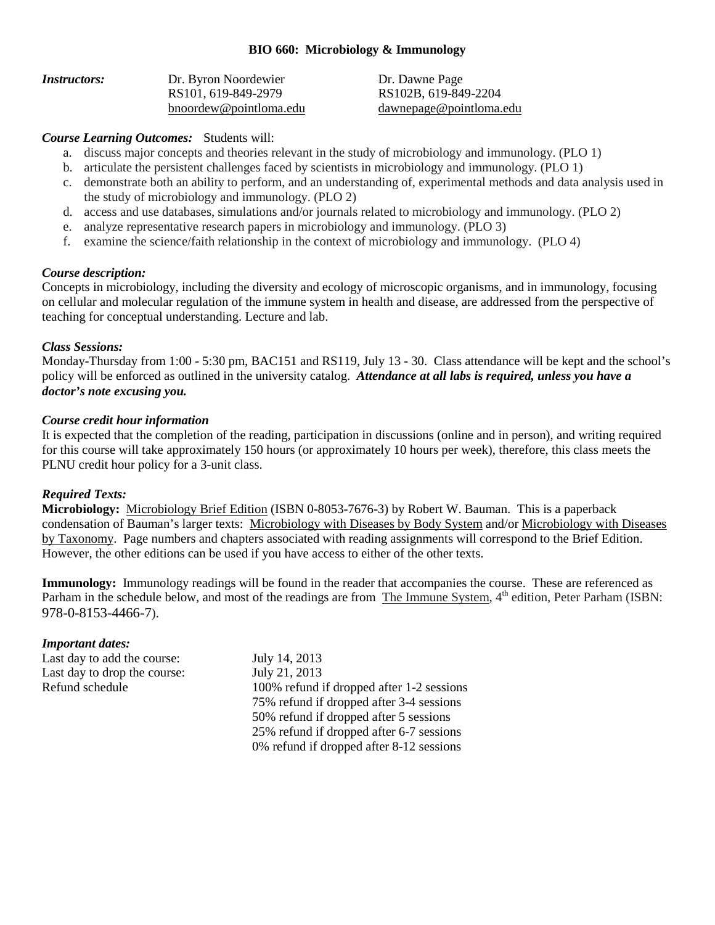### **BIO 660: Microbiology & Immunology**

| Instructors: | Dr. Byron Noordewier   | Dr. Da |
|--------------|------------------------|--------|
|              | RS101, 619-849-2979    | RS102  |
|              | bnoordew@pointloma.edu | dawne  |

awne Page 2B, 619-849-2204 berage@pointloma.edu

## *Course Learning Outcomes:* Students will:

- a. discuss major concepts and theories relevant in the study of microbiology and immunology. (PLO 1)
- b. articulate the persistent challenges faced by scientists in microbiology and immunology. (PLO 1)
- c. demonstrate both an ability to perform, and an understanding of, experimental methods and data analysis used in the study of microbiology and immunology. (PLO 2)
- d. access and use databases, simulations and/or journals related to microbiology and immunology. (PLO 2)
- e. analyze representative research papers in microbiology and immunology. (PLO 3)
- f. examine the science/faith relationship in the context of microbiology and immunology. (PLO 4)

### *Course description:*

Concepts in microbiology, including the diversity and ecology of microscopic organisms, and in immunology, focusing on cellular and molecular regulation of the immune system in health and disease, are addressed from the perspective of teaching for conceptual understanding. Lecture and lab.

### *Class Sessions:*

Monday-Thursday from 1:00 - 5:30 pm, BAC151 and RS119, July 13 - 30. Class attendance will be kept and the school's policy will be enforced as outlined in the university catalog. *Attendance at all labs is required, unless you have a doctor's note excusing you.*

#### *Course credit hour information*

It is expected that the completion of the reading, participation in discussions (online and in person), and writing required for this course will take approximately 150 hours (or approximately 10 hours per week), therefore, this class meets the PLNU credit hour policy for a 3-unit class.

# *Required Texts:*

**Microbiology:** Microbiology Brief Edition (ISBN 0-8053-7676-3) by Robert W. Bauman. This is a paperback condensation of Bauman's larger texts: Microbiology with Diseases by Body System and/or Microbiology with Diseases by Taxonomy. Page numbers and chapters associated with reading assignments will correspond to the Brief Edition. However, the other editions can be used if you have access to either of the other texts.

**Immunology:** Immunology readings will be found in the reader that accompanies the course. These are referenced as Parham in the schedule below, and most of the readings are from The Immune System, 4<sup>th</sup> edition, Peter Parham (ISBN: 978-0-8153-4466-7).

#### *Important dates:*

Last day to add the course: July 14, 2013 Last day to drop the course: July 21, 2013

Refund schedule 100% refund if dropped after 1-2 sessions 75% refund if dropped after 3-4 sessions 50% refund if dropped after 5 sessions 25% refund if dropped after 6-7 sessions 0% refund if dropped after 8-12 sessions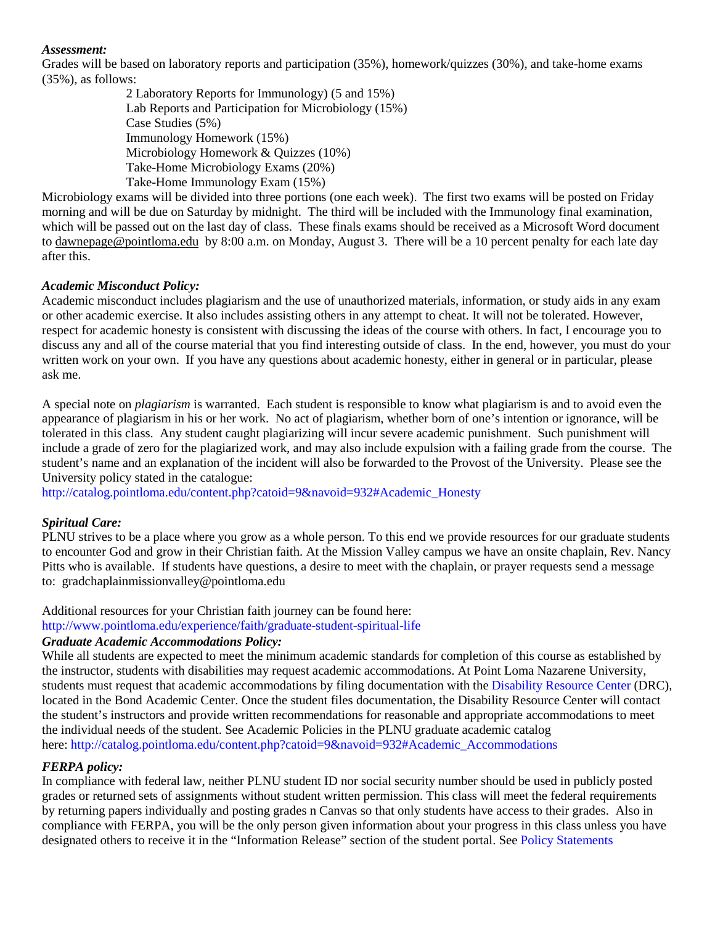#### *Assessment:*

Grades will be based on laboratory reports and participation (35%), homework/quizzes (30%), and take-home exams (35%), as follows:

2 Laboratory Reports for Immunology) (5 and 15%) Lab Reports and Participation for Microbiology (15%) Case Studies (5%) Immunology Homework (15%) Microbiology Homework & Quizzes (10%) Take-Home Microbiology Exams (20%) Take-Home Immunology Exam (15%)

Microbiology exams will be divided into three portions (one each week). The first two exams will be posted on Friday morning and will be due on Saturday by midnight. The third will be included with the Immunology final examination, which will be passed out on the last day of class. These finals exams should be received as a Microsoft Word document to [dawnepage@pointloma.edu](mailto:dawnepage@pointloma.edu) by 8:00 a.m. on Monday, August 3. There will be a 10 percent penalty for each late day after this.

### *Academic Misconduct Policy:*

Academic misconduct includes plagiarism and the use of unauthorized materials, information, or study aids in any exam or other academic exercise. It also includes assisting others in any attempt to cheat. It will not be tolerated. However, respect for academic honesty is consistent with discussing the ideas of the course with others. In fact, I encourage you to discuss any and all of the course material that you find interesting outside of class. In the end, however, you must do your written work on your own. If you have any questions about academic honesty, either in general or in particular, please ask me.

A special note on *plagiarism* is warranted. Each student is responsible to know what plagiarism is and to avoid even the appearance of plagiarism in his or her work. No act of plagiarism, whether born of one's intention or ignorance, will be tolerated in this class. Any student caught plagiarizing will incur severe academic punishment. Such punishment will include a grade of zero for the plagiarized work, and may also include expulsion with a failing grade from the course. The student's name and an explanation of the incident will also be forwarded to the Provost of the University. Please see the University policy stated in the catalogue:

[http://catalog.pointloma.edu/content.php?catoid=9&navoid=932#Academic\\_Honesty](http://catalog.pointloma.edu/content.php?catoid=9&navoid=932#Academic_Honesty)

#### *Spiritual Care:*

PLNU strives to be a place where you grow as a whole person. To this end we provide resources for our graduate students to encounter God and grow in their Christian faith. At the Mission Valley campus we have an onsite chaplain, Rev. Nancy Pitts who is available. If students have questions, a desire to meet with the chaplain, or prayer requests send a message to: [gradchaplainmissionvalley@pointloma.edu](mailto:gradchaplainmissionvalley@pointloma.edu) 

Additional resources for your Christian faith journey can be found here:

<http://www.pointloma.edu/experience/faith/graduate-student-spiritual-life>

### *Graduate Academic Accommodations Policy:*

While all students are expected to meet the minimum academic standards for completion of this course as established by the instructor, students with disabilities may request academic accommodations. At Point Loma Nazarene University, students must request that academic accommodations by filing documentation with the [Disability Resource Center](http://www.pointloma.edu/experience/offices/administrative-offices/academic-advising-office/disability-resource-center) (DRC), located in the Bond Academic Center. Once the student files documentation, the Disability Resource Center will contact the student's instructors and provide written recommendations for reasonable and appropriate accommodations to meet the individual needs of the student. See Academic Policies in the PLNU graduate academic catalog here[: http://catalog.pointloma.edu/content.php?catoid=9&navoid=932#Academic\\_Accommodations](http://catalog.pointloma.edu/content.php?catoid=9&navoid=932#Academic_Accommodations)

#### *FERPA policy:*

In compliance with federal law, neither PLNU student ID nor social security number should be used in publicly posted grades or returned sets of assignments without student written permission. This class will meet the federal requirements by returning papers individually and posting grades n Canvas so that only students have access to their grades. Also in compliance with FERPA, you will be the only person given information about your progress in this class unless you have designated others to receive it in the "Information Release" section of the student portal. See [Policy Statements](http://www.pointloma.edu/experience/academics/catalogs/undergraduate-catalog/policy-statements)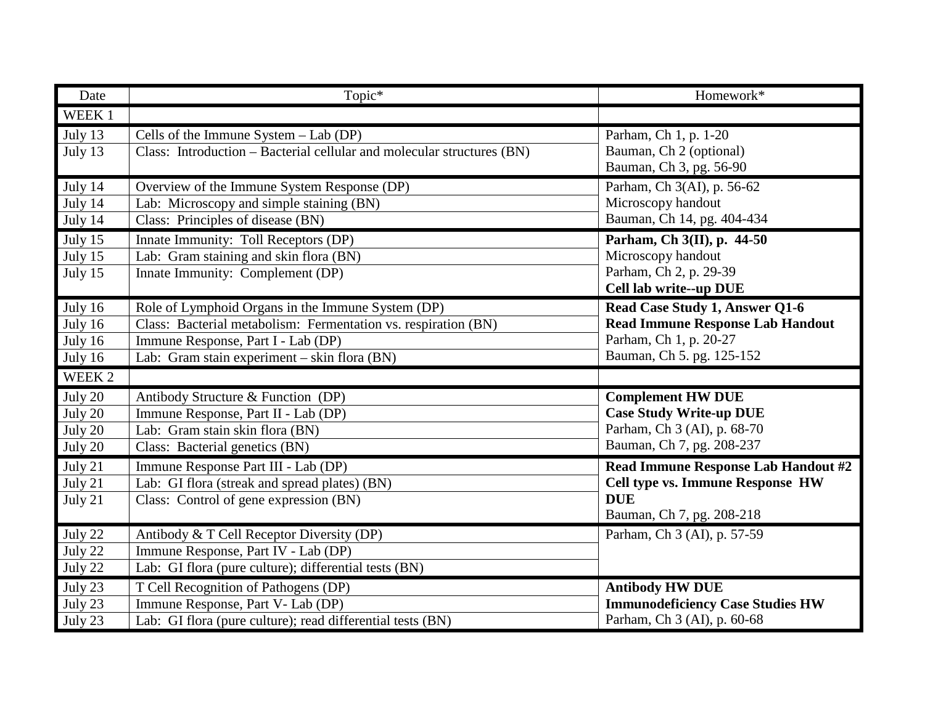| Date                                                   | Topic*                                                                                                                                                                                                    | Homework*                                                                                                                        |
|--------------------------------------------------------|-----------------------------------------------------------------------------------------------------------------------------------------------------------------------------------------------------------|----------------------------------------------------------------------------------------------------------------------------------|
| WEEK 1                                                 |                                                                                                                                                                                                           |                                                                                                                                  |
| July 13<br>July 13                                     | Cells of the Immune System $-$ Lab (DP)<br>Class: Introduction – Bacterial cellular and molecular structures (BN)                                                                                         | Parham, Ch 1, p. 1-20<br>Bauman, Ch 2 (optional)<br>Bauman, Ch 3, pg. 56-90                                                      |
| July 14<br>July 14<br>July 14                          | Overview of the Immune System Response (DP)<br>Lab: Microscopy and simple staining (BN)<br>Class: Principles of disease (BN)                                                                              | Parham, Ch 3(AI), p. 56-62<br>Microscopy handout<br>Bauman, Ch 14, pg. 404-434                                                   |
| July 15<br>July 15<br>July 15                          | Innate Immunity: Toll Receptors (DP)<br>Lab: Gram staining and skin flora (BN)<br>Innate Immunity: Complement (DP)                                                                                        | Parham, Ch 3(II), p. 44-50<br>Microscopy handout<br>Parham, Ch 2, p. 29-39<br>Cell lab write--up DUE                             |
| July 16<br>July 16<br>July 16<br>July 16               | Role of Lymphoid Organs in the Immune System (DP)<br>Class: Bacterial metabolism: Fermentation vs. respiration (BN)<br>Immune Response, Part I - Lab (DP)<br>Lab: Gram stain experiment – skin flora (BN) | Read Case Study 1, Answer Q1-6<br><b>Read Immune Response Lab Handout</b><br>Parham, Ch 1, p. 20-27<br>Bauman, Ch 5. pg. 125-152 |
| WEEK 2                                                 |                                                                                                                                                                                                           |                                                                                                                                  |
| $\overline{J}$ uly 20<br>July 20<br>July 20<br>July 20 | Antibody Structure & Function (DP)<br>Immune Response, Part II - Lab (DP)<br>Lab: Gram stain skin flora (BN)<br>Class: Bacterial genetics (BN)                                                            | <b>Complement HW DUE</b><br><b>Case Study Write-up DUE</b><br>Parham, Ch 3 (AI), p. 68-70<br>Bauman, Ch 7, pg. 208-237           |
| July 21<br>July 21<br>July 21                          | Immune Response Part III - Lab (DP)<br>Lab: GI flora (streak and spread plates) (BN)<br>Class: Control of gene expression (BN)                                                                            | Read Immune Response Lab Handout #2<br>Cell type vs. Immune Response HW<br><b>DUE</b><br>Bauman, Ch 7, pg. 208-218               |
| July 22<br>July 22<br>July 22                          | Antibody & T Cell Receptor Diversity (DP)<br>Immune Response, Part IV - Lab (DP)<br>Lab: GI flora (pure culture); differential tests (BN)                                                                 | Parham, Ch 3 (AI), p. 57-59                                                                                                      |
| July 23<br>July 23<br>July 23                          | T Cell Recognition of Pathogens (DP)<br>Immune Response, Part V- Lab (DP)<br>Lab: GI flora (pure culture); read differential tests (BN)                                                                   | <b>Antibody HW DUE</b><br><b>Immunodeficiency Case Studies HW</b><br>Parham, Ch 3 (AI), p. 60-68                                 |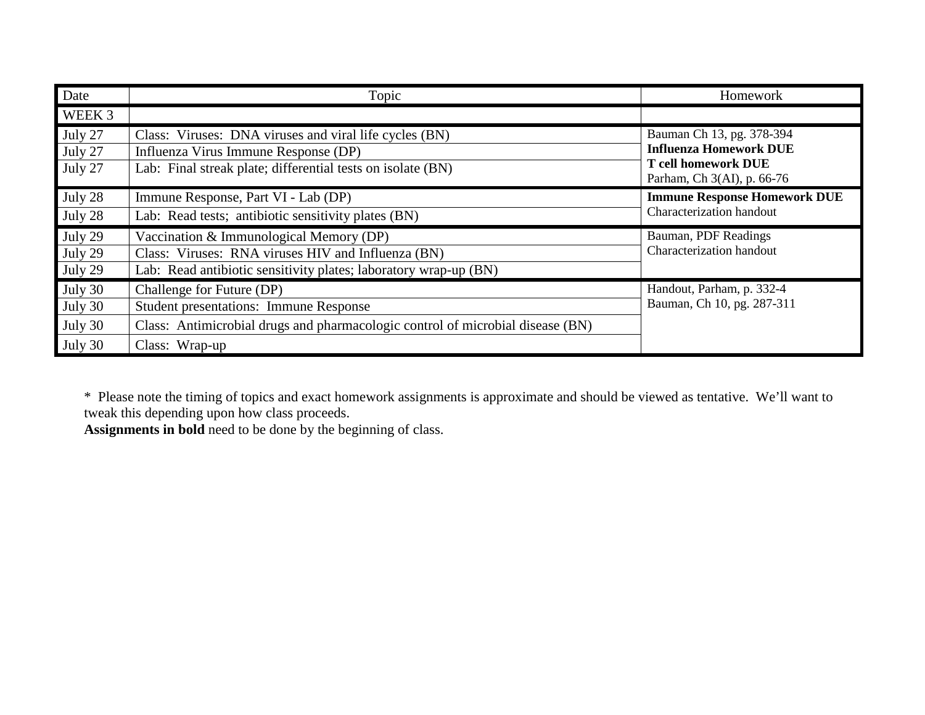| Date                                     | Topic                                                                                                                                                                          | Homework                                                                                                               |
|------------------------------------------|--------------------------------------------------------------------------------------------------------------------------------------------------------------------------------|------------------------------------------------------------------------------------------------------------------------|
| WEEK 3                                   |                                                                                                                                                                                |                                                                                                                        |
| July 27<br>July 27<br>July 27            | Class: Viruses: DNA viruses and viral life cycles (BN)<br>Influenza Virus Immune Response (DP)<br>Lab: Final streak plate; differential tests on isolate (BN)                  | Bauman Ch 13, pg. 378-394<br><b>Influenza Homework DUE</b><br><b>T</b> cell homework DUE<br>Parham, Ch 3(AI), p. 66-76 |
| July 28<br>July 28                       | Immune Response, Part VI - Lab (DP)<br>Lab: Read tests; antibiotic sensitivity plates (BN)                                                                                     | <b>Immune Response Homework DUE</b><br>Characterization handout                                                        |
| July 29<br>July 29<br>July 29            | Vaccination & Immunological Memory (DP)<br>Class: Viruses: RNA viruses HIV and Influenza (BN)<br>Lab: Read antibiotic sensitivity plates; laboratory wrap-up (BN)              | Bauman, PDF Readings<br>Characterization handout                                                                       |
| July 30<br>July 30<br>July 30<br>July 30 | Challenge for Future (DP)<br><b>Student presentations: Immune Response</b><br>Class: Antimicrobial drugs and pharmacologic control of microbial disease (BN)<br>Class: Wrap-up | Handout, Parham, p. 332-4<br>Bauman, Ch 10, pg. 287-311                                                                |

\* Please note the timing of topics and exact homework assignments is approximate and should be viewed as tentative. We'll want to tweak this depending upon how class proceeds.

**Assignments in bold** need to be done by the beginning of class.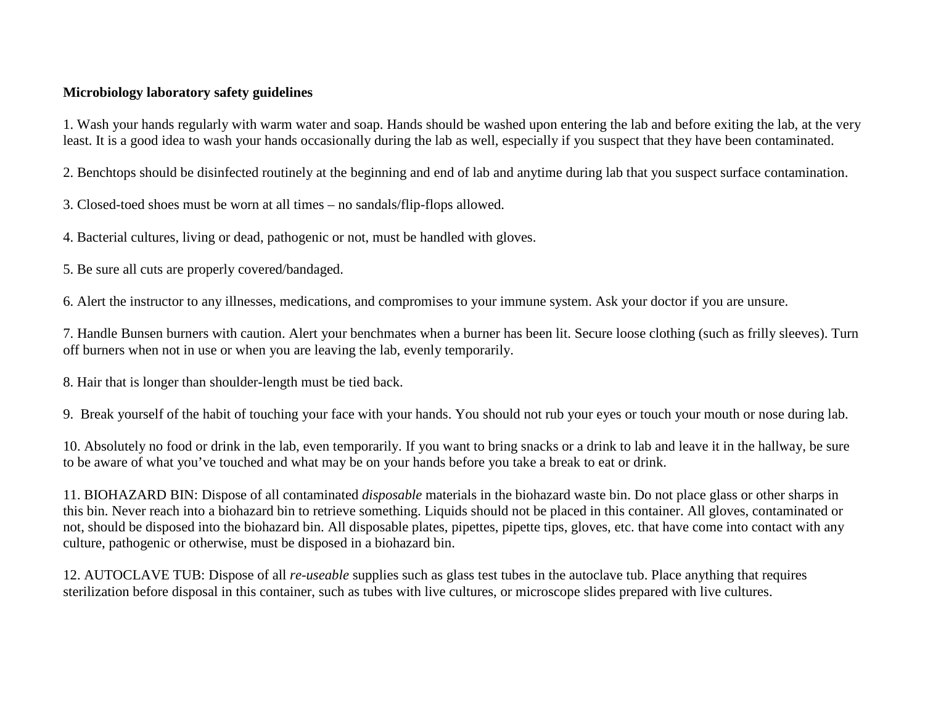# **Microbiology laboratory safety guidelines**

1. Wash your hands regularly with warm water and soap. Hands should be washed upon entering the lab and before exiting the lab, at the very least. It is a good idea to wash your hands occasionally during the lab as well, especially if you suspect that they have been contaminated.

2. Benchtops should be disinfected routinely at the beginning and end of lab and anytime during lab that you suspect surface contamination.

3. Closed-toed shoes must be worn at all times – no sandals/flip-flops allowed.

4. Bacterial cultures, living or dead, pathogenic or not, must be handled with gloves.

5. Be sure all cuts are properly covered/bandaged.

6. Alert the instructor to any illnesses, medications, and compromises to your immune system. Ask your doctor if you are unsure.

7. Handle Bunsen burners with caution. Alert your benchmates when a burner has been lit. Secure loose clothing (such as frilly sleeves). Turn off burners when not in use or when you are leaving the lab, evenly temporarily.

8. Hair that is longer than shoulder-length must be tied back.

9. Break yourself of the habit of touching your face with your hands. You should not rub your eyes or touch your mouth or nose during lab.

10. Absolutely no food or drink in the lab, even temporarily. If you want to bring snacks or a drink to lab and leave it in the hallway, be sure to be aware of what you've touched and what may be on your hands before you take a break to eat or drink.

11. BIOHAZARD BIN: Dispose of all contaminated *disposable* materials in the biohazard waste bin. Do not place glass or other sharps in this bin. Never reach into a biohazard bin to retrieve something. Liquids should not be placed in this container. All gloves, contaminated or not, should be disposed into the biohazard bin. All disposable plates, pipettes, pipette tips, gloves, etc. that have come into contact with any culture, pathogenic or otherwise, must be disposed in a biohazard bin.

12. AUTOCLAVE TUB: Dispose of all *re-useable* supplies such as glass test tubes in the autoclave tub. Place anything that requires sterilization before disposal in this container, such as tubes with live cultures, or microscope slides prepared with live cultures.